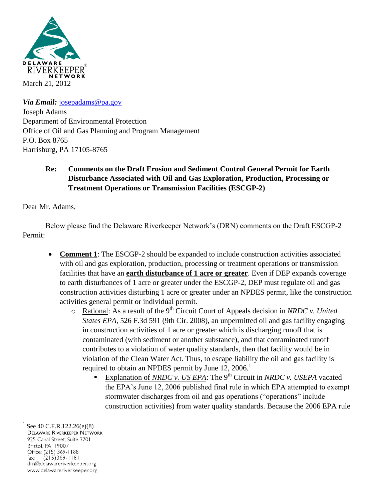

*Via Email:* [josepadams@pa.gov](mailto:josepadamas@pa.gov) Joseph Adams Department of Environmental Protection Office of Oil and Gas Planning and Program Management P.O. Box 8765 Harrisburg, PA 17105-8765

## **Re: Comments on the Draft Erosion and Sediment Control General Permit for Earth Disturbance Associated with Oil and Gas Exploration, Production, Processing or Treatment Operations or Transmission Facilities (ESCGP-2)**

Dear Mr. Adams,

Below please find the Delaware Riverkeeper Network's (DRN) comments on the Draft ESCGP-2 Permit:

- **Comment 1**: The ESCGP-2 should be expanded to include construction activities associated with oil and gas exploration, production, processing or treatment operations or transmission facilities that have an **earth disturbance of 1 acre or greater**. Even if DEP expands coverage to earth disturbances of 1 acre or greater under the ESCGP-2, DEP must regulate oil and gas construction activities disturbing 1 acre or greater under an NPDES permit, like the construction activities general permit or individual permit.
	- o Rational: As a result of the 9th Circuit Court of Appeals decision in *NRDC v. United States EPA*, 526 F.3d 591 (9th Cir. 2008), an unpermitted oil and gas facility engaging in construction activities of 1 acre or greater which is discharging runoff that is contaminated (with sediment or another substance), and that contaminated runoff contributes to a violation of water quality standards, then that facility would be in violation of the Clean Water Act. Thus, to escape liability the oil and gas facility is required to obtain an NPDES permit by June  $12, 2006$ .<sup>1</sup>
		- Explanation of *NRDC v. US EPA*: The 9<sup>th</sup> Circuit in *NRDC v. USEPA* vacated the EPA's June 12, 2006 published final rule in which EPA attempted to exempt stormwater discharges from oil and gas operations ("operations" include construction activities) from water quality standards. Because the 2006 EPA rule

 $\overline{a}$ 1 See 40 C.F.R.122.26(e)(8)<br>Delaware Riverkeeper Network 925 Canal Street, Suite 3701 Bristol, PA 19007 Office: (215) 369-1188 fax:  $(215)369 - 1181$ drn@delawareriverkeeper.org www.delawareriverkeeper.org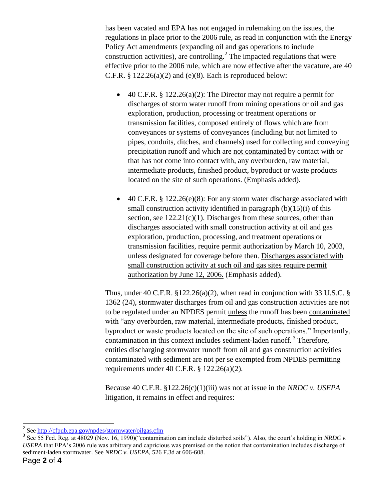has been vacated and EPA has not engaged in rulemaking on the issues, the regulations in place prior to the 2006 rule, as read in conjunction with the Energy Policy Act amendments (expanding oil and gas operations to include construction activities), are controlling.<sup>2</sup> The impacted regulations that were effective prior to the 2006 rule, which are now effective after the vacature, are 40 C.F.R.  $\S 122.26(a)(2)$  and (e)(8). Each is reproduced below:

- 40 C.F.R. § 122.26(a)(2): The Director may not require a permit for discharges of storm water runoff from mining operations or oil and gas exploration, production, processing or treatment operations or transmission facilities, composed entirely of flows which are from conveyances or systems of conveyances (including but not limited to pipes, conduits, ditches, and channels) used for collecting and conveying precipitation runoff and which are not contaminated by contact with or that has not come into contact with, any overburden, raw material, intermediate products, finished product, byproduct or waste products located on the site of such operations. (Emphasis added).
- 40 C.F.R. § 122.26(e)(8): For any storm water discharge associated with small construction activity identified in paragraph  $(b)(15)(i)$  of this section, see  $122.21(c)(1)$ . Discharges from these sources, other than discharges associated with small construction activity at oil and gas exploration, production, processing, and treatment operations or transmission facilities, require permit authorization by March 10, 2003, unless designated for coverage before then. Discharges associated with small construction activity at such oil and gas sites require permit authorization by June 12, 2006. (Emphasis added).

Thus, under 40 C.F.R.  $\S 122.26(a)(2)$ , when read in conjunction with 33 U.S.C. § 1362 (24), stormwater discharges from oil and gas construction activities are not to be regulated under an NPDES permit unless the runoff has been contaminated with "any overburden, raw material, intermediate products, finished product, byproduct or waste products located on the site of such operations." Importantly, contamination in this context includes sediment-laden runoff.<sup>3</sup> Therefore, entities discharging stormwater runoff from oil and gas construction activities contaminated with sediment are not per se exempted from NPDES permitting requirements under 40 C.F.R. § 122.26(a)(2).

Because 40 C.F.R. §122.26(c)(1)(iii) was not at issue in the *NRDC v. USEPA* litigation, it remains in effect and requires:

<sup>&</sup>lt;sup>2</sup> See <u>http://cfpub.epa.gov/npdes/stormwater/oilgas.cfm</u>

<sup>&</sup>lt;sup>3</sup> See 55 Fed. Reg. at 48029 (Nov. 16, 1990)("contamination can include disturbed soils"). Also, the court's holding in *NRDC v*. *USEPA* that EPA's 2006 rule was arbitrary and capricious was premised on the notion that contamination includes discharge of sediment-laden stormwater. See *NRDC v. USEPA*, 526 F.3d at 606-608.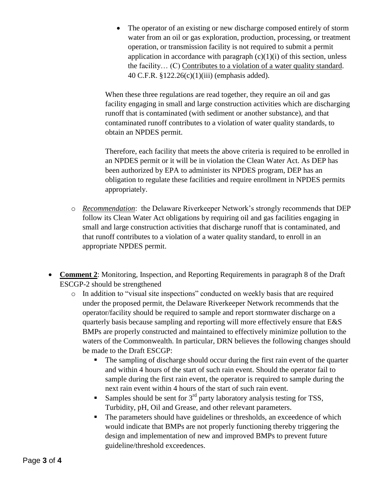The operator of an existing or new discharge composed entirely of storm water from an oil or gas exploration, production, processing, or treatment operation, or transmission facility is not required to submit a permit application in accordance with paragraph  $(c)(1)(i)$  of this section, unless the facility… (C) Contributes to a violation of a water quality standard. 40 C.F.R. §122.26(c)(1)(iii) (emphasis added).

When these three regulations are read together, they require an oil and gas facility engaging in small and large construction activities which are discharging runoff that is contaminated (with sediment or another substance), and that contaminated runoff contributes to a violation of water quality standards, to obtain an NPDES permit.

Therefore, each facility that meets the above criteria is required to be enrolled in an NPDES permit or it will be in violation the Clean Water Act. As DEP has been authorized by EPA to administer its NPDES program, DEP has an obligation to regulate these facilities and require enrollment in NPDES permits appropriately.

- o *Recommendation*: the Delaware Riverkeeper Network's strongly recommends that DEP follow its Clean Water Act obligations by requiring oil and gas facilities engaging in small and large construction activities that discharge runoff that is contaminated, and that runoff contributes to a violation of a water quality standard, to enroll in an appropriate NPDES permit.
- **Comment 2**: Monitoring, Inspection, and Reporting Requirements in paragraph 8 of the Draft ESCGP-2 should be strengthened
	- o In addition to "visual site inspections" conducted on weekly basis that are required under the proposed permit, the Delaware Riverkeeper Network recommends that the operator/facility should be required to sample and report stormwater discharge on a quarterly basis because sampling and reporting will more effectively ensure that E&S BMPs are properly constructed and maintained to effectively minimize pollution to the waters of the Commonwealth. In particular, DRN believes the following changes should be made to the Draft ESCGP:
		- The sampling of discharge should occur during the first rain event of the quarter and within 4 hours of the start of such rain event. Should the operator fail to sample during the first rain event, the operator is required to sample during the next rain event within 4 hours of the start of such rain event.
		- Samples should be sent for  $3<sup>rd</sup>$  party laboratory analysis testing for TSS, Turbidity, pH, Oil and Grease, and other relevant parameters.
		- The parameters should have guidelines or thresholds, an exceedence of which would indicate that BMPs are not properly functioning thereby triggering the design and implementation of new and improved BMPs to prevent future guideline/threshold exceedences.